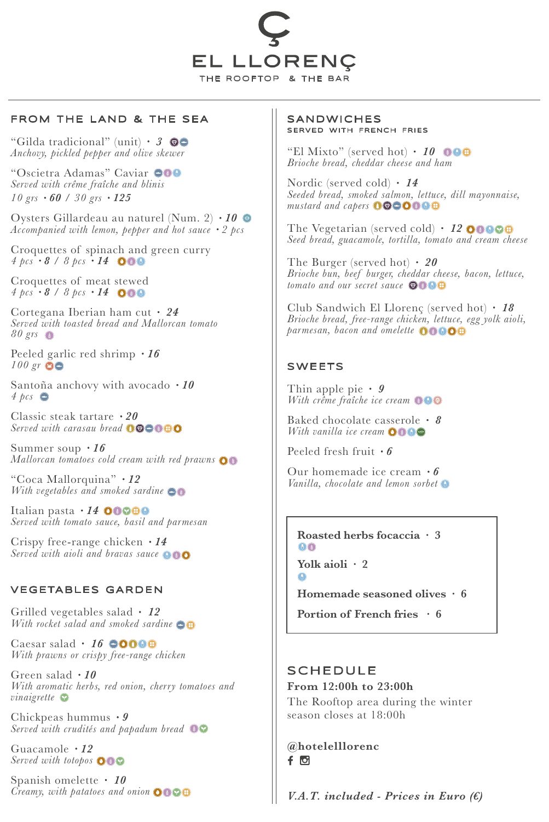

### FROM THE LAND & THE SEA

"Gilda tradicional" (unit) · *3 Anchovy, pickled pepper and olive skewer*

"Oscietra Adamas" Caviar *Served with crême fraîche and blinis 10 grs* · *60* / *30 grs* · *125*

Oysters Gillardeau au naturel (Num. 2) · *10 Accompanied with lemon, pepper and hot sauce · 2 pcs*

Croquettes of spinach and green curry *4 pcs* · *8* / *8 pcs* · *14*

Croquettes of meat stewed  $4 \text{ } pcs \cdot 8 / 8 \text{ } pcs \cdot 14$  000

Cortegana Iberian ham cut · *24 Served with toasted bread and Mallorcan tomato 80 grs*

Peeled garlic red shrimp · *16 100 gr*

Santoña anchovy with avocado · *10 4 pcs*

Classic steak tartare · *20 Served with carasau bread*

Summer soup · *16 Mallorcan tomatoes cold cream with red prawns*

"Coca Mallorquina" · *12 With vegetables and smoked sardine*

Italian pasta · **14 00000** *Served with tomato sauce, basil and parmesan*

Crispy free-range chicken · *14 Served with aioli and bravas sauce*

### VEGETABLES GARDEN

Grilled vegetables salad · *12 With rocket salad and smoked sardine*

Caesar salad · 16 **0000** *With prawns or crispy free-range chicken*

Green salad · *10 With aromatic herbs, red onion, cherry tomatoes and vinaigrette*

Chickpeas hummus · *9 Served with crudités and papadum bread*

Guacamole · *12 Served with totopos*

Spanish omelette · *10 Creamy, with patatoes and onion*

#### SANDWICHES SERVED WITH FRENCH FRIES

"El Mixto" (served hot) · *10 Brioche bread, cheddar cheese and ham*

Nordic (served cold) · *14 Seeded bread, smoked salmon, lettuce, dill mayonnaise, mustard and capers*

The Vegetarian (served cold) · **12 00000** *Seed bread, guacamole, tortilla, tomato and cream cheese*

The Burger (served hot) · *20 Brioche bun, beef burger, cheddar cheese, bacon, lettuce, tomato and our secret sauce*

Club Sandwich El Llorenç (served hot) · *18 Brioche bread, free-range chicken, lettuce, egg yolk aioli, parmesan, bacon and omelette*

### SWEETS

Thin apple pie · *9 With crême fraîche ice cream*

Baked chocolate casserole · *8 With vanilla ice cream*

Peeled fresh fruit · *6*

Our homemade ice cream · *6 Vanilla, chocolate and lemon sorbet*

**Roasted herbs focaccia · 3**  $\bigodot$   $\bigodot$ **Yolk aioli · 2**

 $\bigcap$ 

**Homemade seasoned olives · 6**

**Portion of French fries · 6**

## SCHEDULE

**From 12:00h to 23:00h** The Rooftop area during the winter season closes at 18:00h

**@hotelelllorenc**  $f$   $\circ$ 

*V.A.T. included - Prices in Euro (€)*